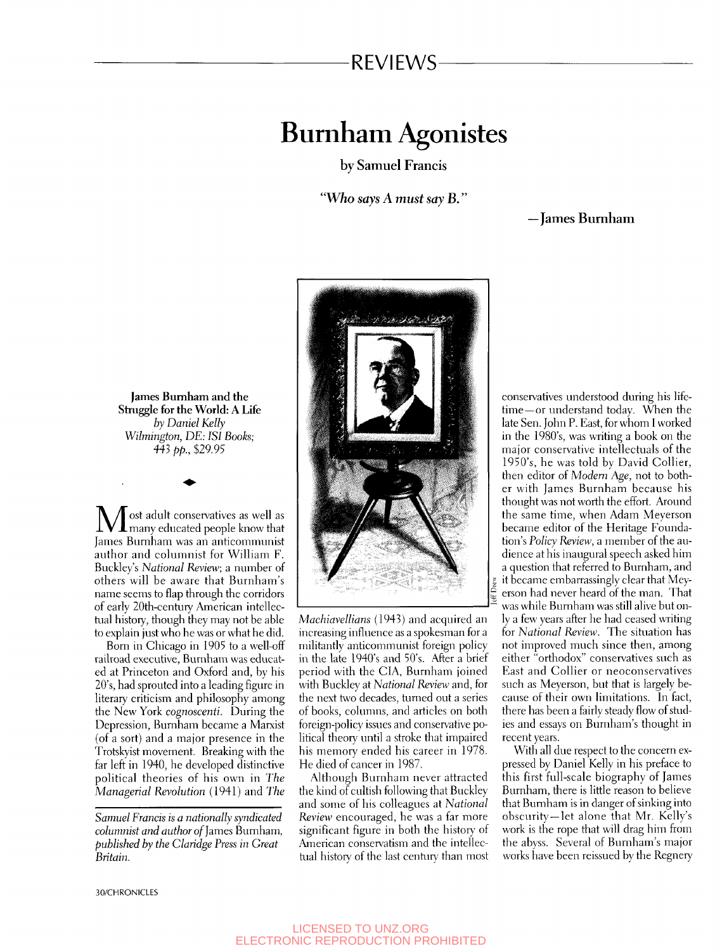### REVIEWS

# Burnham Agonistes

by Samuel Francis

*"Who says A must say B."* 

-James Burnham

**James Burnham and the Struggle for the World: A Life**  *by Daniel Kelly Wilmington, DE: ISI Books;*  443 *pp.,* \$29.95

**M** ost adult conservatives as well as<br>Ismae Burnham was an optisammunist James Burnham was an anticommunist author and columnist for William F. Buckley's *National Review,* a number of others will be aware that Burnham's name seems to flap through the corridors of early 20th-century American intellectual history, though they may not be able to explain just who he was or what he did.

Born in Chicago in 1905 to a well-off railroad executive, Burnham was educated at Princeton and Oxford and, by his 20's, had sprouted into a leading figure in literary criticism and philosophy among the New York *cognoscenti.* During the Depression, Burnham became a Marxist (of a sort) and a major presence in the Trotskyist movement. Breaking with the far left in 1940, he developed distinctive political theories of his own in *The Managerial Revolution* (1941) and *The* 

*Samuel Francis is a nationally syndicated columnist and author* of James Burnham, *published by the Claridge Press in Great Britain.* 



*Machiavellians* (1943) and acquired an increasing influence as a spokesman for a militantly anticommunist foreign policy in the late 1940's and 50's. After a brief period with the CIA, Burnham joined with Buckley at *National Review* and, for the next two decades, turned out a series of books, columns, and articles on both foreign-policy issues and conservative political theory until a stroke that impaired his memory ended his career in 1978. He died of cancer in 1987.

Although Burnham never attracted the kind of cultish following that Buckley and some of his colleagues at *National Review* encouraged, he was a far more significant figure in both the history of American conservatism and the intellectual history of the last century than most

conservatives understood during his lifetime—or understand today. When the late Sen. John P. East, for whom 1 worked in the 1980's, was writing a book on the major conservative intellectuals of the 1950's, he was told by David Collier, then editor of *Modem Age,* not to bother with James Burnham because his thought was not worth the effort. Around the same time, when Adam Meyerson became editor of the Heritage Foundahon's *Policy Review,* a member of the audience at his inaugural speech asked him a question that referred to Burnham, and it became embarrassingly clear that Meyerson had never heard of the man. That was while Burnham was still alive but only a few years after he had ceased writing for *National Review.* The situation has not improved much since then, among either "orthodox" conservatives such as East and Collier or neoconservatives such as Meyerson, but that is largely because of their own limitations. In fact, there has been a fairly steady flow of studies and essays on Burnham's thought in recent years.

With all due respect to the concern expressed by Daniel Kelly in his preface to this first full-scale biography of James Burnham, there is little reason to believe that Burnham is in danger of sinking into obscurity —let alone that Mr. Kelly's work is the rope that will drag him from the abyss. Several of Burnham's major works have been reissued by the Regnery

30/CHRONICLES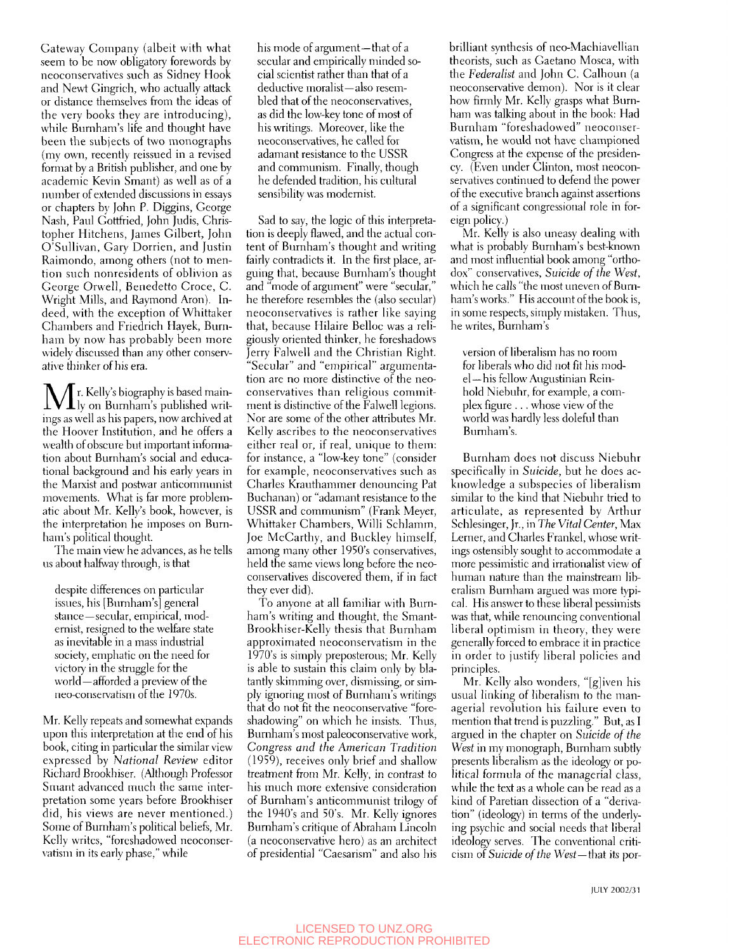Gateway Company (albeit with what seem to be now obligatory forewords by neoconservatives such as Sidney Hook and Newt Gingrich, who actually attack or distance themselves from the ideas of the very books they are introducing), while Burnham's life and thought have been the subjects of two monographs (my own, recently reissued in a revised format by a British publisher, and one by academic Kevin Smant) as well as of a number of extended discussions in essays or chapters by John P. Diggins, George Nash, Paul Gottfried, John Judis, Christopher Hitchens, James Gilbert, John O'Sullivan, Gary Dorrien, and Justin Raimondo, among others (not to mention such nonresidents of oblivion as George Orwell, Benedetto Croce, C. Wright Mills, and Raymond Aron), Indeed, with the exception of Whittaker Chambers and Friedrich Hayek, Burnham by now has probably been more widely discussed than any other conservative thinker of his era.

 $\prod_{\text{ly on Burnham's published written}}$ ings as well as his papers, now archived at the Hoover Institution, and he offers a wealth of obscure but important information about Burnham's social and educational background and his early years in the Marxist and postwar anticommunist movements. What is far more problematic about Mr. Kelly's book, however, is the interpretation he imposes on Burnham's political thought.

The main view he advances, as he tells us about halfway through, is that

despite differences on particular issues, his [Burnham's] general stance—secular, empirical, modernist, resigned to the welfare state as inevitable in a mass industrial society, emphatic on the need for victory in the struggle for the world—afforded a preview of the neo-conservatism of the 1970s.

Mr. Kelly repeats and somewhat expands upon this interpretation at the end of his book, citing in particular the similar view expressed by *National Review* editor Richard Brookhiser. (Although Professor Smant advanced much the same interpretation some years before Brookhiser did, his views are never mentioned.) Some of Burnham's political beliefs, Mr. Kelly writes, "foreshadowed ncoconservatism in its early phase," while

his mode of argument—that of a secular and empirically minded social scientist rather than that of a deductive moralist—also resembled that of the neoconsenatives, as did the low-key tone of most of his writings. Moreover, like the neoconservatives, he called for adamant resistance to the USSR and communism. Finally, though he defended tradition, his cultural sensibility was modernist.

Sad to say, the logic of this interpretation is deeply flawed, and the actual content of Burnham's thought and writing fairly contradicts it. In the first place, arguing that, because Burnham's thought and "mode of argument" were "secular," he therefore resembles the (also secular) neoconservatives is rather like saying that, because Hilaire Belloc was a religiously oriented thinker, he foreshadows Jerry Falwell and the Christian Right. "Secular" and "empirical" argumentation are no more distinctive of the neoconservatives than religious commitment is distinctive of the Falwell legions. Nor are some of the other attributes Mr. Kelly ascribes to the neoconservatives either real or, if real, unique to them: for instance, a "low-key tone" (consider for example, neoconservatives such as Charles Krauthammer denouncing Pat Buchanan) or "adamant resistance to the USSR and communism" (Frank Meyer, Whittaker Chambers, Willi Schlamm, Joe McCarthy, and Buckley himself, among many other 1950's conservatives, held the same views long before the neoconservatives discovered them, if in fact they ever did).

To anyone at all familiar with Burnham's writing and thought, the Smant-Brookhiser-Kelly thesis that Burnham approximated neoconservatism in the 1970's is simply preposterous; Mr. Kelly is able to sustain this claim only by blatantly skimming over, dismissing, or simply ignoring most of Burnham's writings that do not fit the neoconservative "foreshadowing" on which he insists. Thus, Burnham's most paleoconservative work. *Congress and the American Tradition*  (1959), receives only brief and shallow treatment from Mr. Kelly, in contrast to his much more extensive consideration of Burnham's anticommunist trilogy of the 1940's and 50's. Mr. Kelly ignores Burnham's critique of Abraham Lincoln (a neoconservative hero) as an architect of presidential "Caesarism" and also his brilliant synthesis of neo-Machiavellian theorists, such as Gaetano Mosea, with the *Federalist* and John C. Calhoun (a neoconservative demon). Nor is it clear how firmly Mr. Kelly grasps what Burnham was talking about in the book: Had Burnham "foreshadowed" neoconservatism, he would not have championed Congress at the expense of the presidency. (Even under Clinton, most neoconservatives continued to defend the power of the executive branch against assertions of a significant congressional role in foreign policy.)

Mr. Kelly is also uneasy dealing with what is probably Burnham's best-known and most influential book among "orthodox" conservatives. *Suicide of the West,*  which he calls "the most uneven of Burnham's works." His account of the book is, in some respects, simply mistaken. Thus, he writes, Burnham's

version of liberalism has no room for liberals who did not fit his model— his fellow Augustinian Reinhold Niebuhr, for example, a complex figure .. . whose view of the world was hardly less doleful than Burnham's.

Burnham does not discuss Niebuhr specifically in *Suicide,* but he does acknowledge a subspecies of liberalism similar to the kind that Niebuhr tried to articulate, as represented by Arthur Schlesinger, Jr., in *The Vital Center,* Max Lerner, and Charles Frankel, whose writings ostensibly sought to accommodate a more pessimistic and irrationalist view of human nature than the mainstream liberalism Burnham argued was more typical. His answer to these liberal pessimists was that, while renouncing conventional liberal optimism in theory, they were generally forced to embrace it in practice in order to justify liberal policies and principles.

Mr. Kelly also wonders, "[g]iven his usual linking of liberalism to the managerial revolution his failure even to mention that trend is puzzling." But, as I argued in the chapter on *Suicide of the West* in my monograph, Burnham subtly presents liberalism as the ideology or political formula of the managerial class, while the text as a whole can be read as a kind of Paretian dissection of a "derivation" (ideology) in terms of the underlying psychic and social needs that liberal ideology serves. The conventional criticism *oi Suicide of the West—that* its por-

lULY 2002/31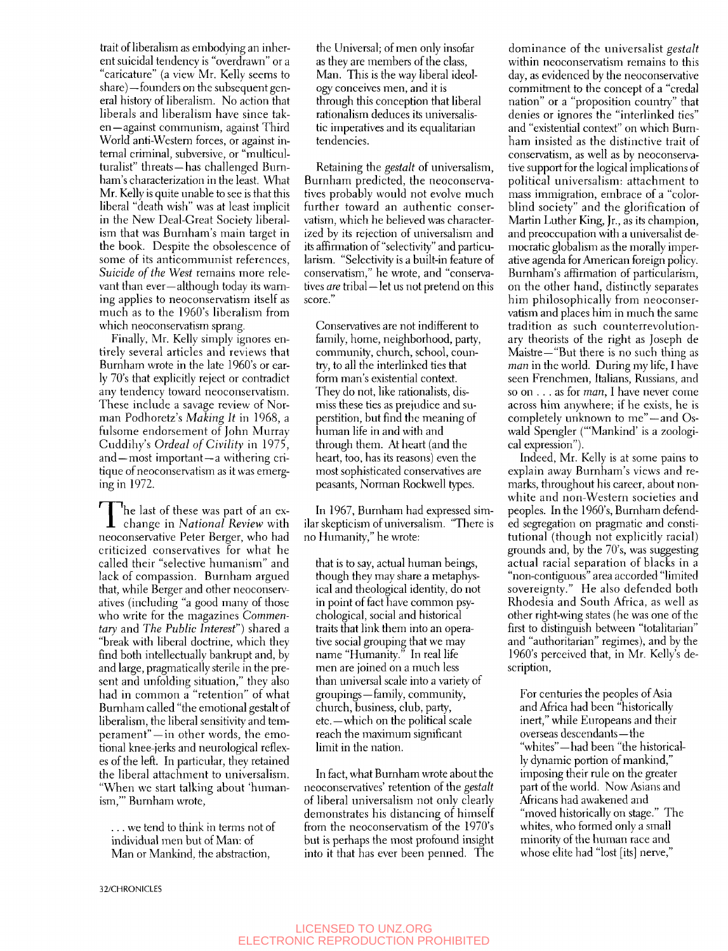trait of liberalism as embodying an inherent suicidal tendency is "overdrawn" or a "caricature" (a view Mr. Kelly seems to share)—founders on the subsequent general history of liberalism. No action that liberals and liberalism have since taken—against communism, against Third World anti-Western forces, or against internal criminal, subversive, or "multiculturalist" threats —has challenged Burnham's characterization in the least. What Mr. Kelly is quite unable to see is that this liberal "death wish" was at least implicit in the New Deal-Great Society liberalism that was Burnham's main target in the book. Despite the obsolescence of some of its anticommunist references. *Suicide of the West* remains more relevant than ever—although today its warning applies to neoconservatism itself as much as to the 1960's liberalism from which neoconservatism sprang.

Finally, Mr. Kelly simply ignores entirely several articles and reviews that Burnham wrote in the late 1960's or early 70's that explicitiy reject or contradict any tendency toward neoconservatism. These include a savage review of Norman Podhoretz's *Making It* in 1968, a fulsome endorsement of John Murray Cuddihy's *Ordeal of Civility* in 1975, and—most important—a withering critique of neoconservatism as it was emerging in 1972.

The last of these was part of an ex-<br>change in *National Review* with he last of these was part of an exneoconservative Peter Berger, who had criticized conservatives for what he called their "selective humanism" and lack of compassion. Burnham argued that, while Berger and other neoconservatives (including "a good many of those who write for the magazines *Commentary* and *The Public Interest")* shared a "break with liberal doctrine, which they find both intellectually bankrupt and, by and large, pragmatically sterile in the present and unfolding situation," they also had in common a "retention" of what Burnham called "the emotional gestalt of liberalism, the liberal sensitivity and temperament"—in other words, the emotional knee-jerks and neurological reflexes of the left. In particular, they retained the liberal attachment to universalism. "When we start talking about 'humanism,"' Burnham wrote,

... we tend to think in terms not of individual men but of Man; of Man or Mankind, the abstraction.

the Universal; of men only insofar as they are members of the class, Man. This is the way liberal ideology conceives men, and it is through this conception that liberal rationalism deduces its universalistic imperatives and its equalitarian tendencies.

Retaining the *gestalt* of universalism, Burnham predicted, the neoconservatives probably would not evolve much further toward an authentic conservatism, which he believed was characterized by its rejection of universalism and its affirmation of "selectivity" and particularism. "Selectivity is a built-in feature of conservatism," he wrote, and "conservatives *are* tribal—let us not pretend on this score."

Conservatives are not indifferent to family, home, neighborhood, party, community, church, school, country, to all the interlinked ties that form man's existential context. They do not, like rationalists, dismiss these ties as prejudice and superstition, but find the meaning of human life in and with and through them. At heart (and the heart, too, has its reasons) even the most sophisticated conservatives are peasants, Norman Rockwell types.

In 1967, Burnham had expressed similar skepticism of universalism. "There is no Humanity," he wrote:

that is to say, actual human beings, though they may share a metaphysical and theological identity, do not in point of fact have common psychological, social and historical traits that link them into an operative social grouping that we may name "Humanity." In real life men are joined on a much less than universal scale into a variety of groupings—family, community, church, business, club, party, etc.—which on the political scale reach the maximum significant limit in the nation.

In fact, what Burnham wrote about the neoconsen'atives' retention of the *gestalt*  of liberal universalism not only clearly demonstrates his distancing of himself from the neoconservatism of the 1970's but is perhaps the most profound insight into it that has ever been penned. The

dominance of the universalist *gestalt*  within neoconservatism remains to this day, as evidenced by the neoconservative commitment to the concept of a "credal nation" or a "proposition country" that denies or ignores the "interlinked ties" and "existential context" on which Burnham insisted as the distinctive trait of conservatism, as well as by neoconservative support for the logical implications of political universalism: attachment to mass immigration, embrace of a "colorblind society" and the glorification of Martin Luther King, Jr., as its champion, and preoccupation with a universalist democratic globalism as the morally imperative agenda for American foreign policy. Burnham's affirmation of particularism, on the other hand, distinctly separates him philosophically from neoconservatism and places him in much the same tradition as such counterrevolutionary theorists of the right as Joseph de Maistre—"But there is no such thing as *man* in the world. During my life, I have seen Frenchmen, Italians, Russians, and so on .. . as for *man,* I have never come across him anywhere; if he exists, he is completely unknown to me"-and Oswald Spengler ("'Mankind' is a zoological expression").

Indeed, Mr. Kelly is at some pains to explain away Burnham's views and remarks, throughout his career, about nonwhite and non-Western societies and peoples. In the 1960's, Burnham defended segregation on pragmatic and constitutional (though not explicitly racial) grounds and, by the 70's, was suggesting actual racial separation of blacks in a "non-contiguous" area accorded "limited sovereignty." He also defended both Rhodesia and South Africa, as well as other right-wing states (he was one of the first to distinguish between "totalitarian" and "authoritarian" regimes), and by the 1960's perceived that, in Mr. Kelly's description.

For centuries the peoples of Asia and Africa had been "historically inert," while Europeans and their overseas descendants—the "whites"—had been "the historically dynamic portion of mankind," imposing their rule on the greater part of the world. Now Asians and Africans had awakened and "moved historically on stage." The whites, who formed only a small minority of the human race and whose elite had "lost [its] nerve,"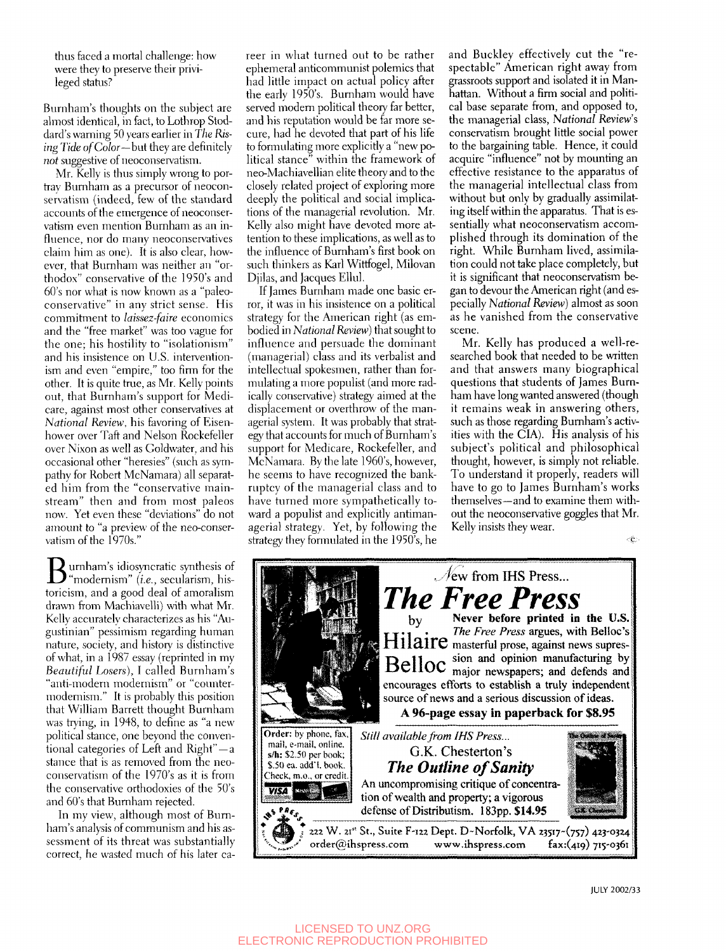thus faced a mortal challenge: how were they to preserve their privileged status?

Burnham's thoughts on the subject are almost identical, in fact, to Lothrop Stoddard's warning 50 years earlier in *The Rising Tide of Color—but* they are definitely *not* suggestive of neoconservatism.

Mr. Kelly is thus simply wrong to portray Burnham as a precursor of neoconservatism (indeed, few of the standard accounts of the emergence of neoconservatism even mention Burnham as an influence, nor do many neoconservatives claim him as one). It is also clear, however, that Burnham was neither an "orthodox" conservative of the 1950's and 60's nor what is now known as a "paleoconservative" in any strict sense. His commitment to *laissez-faire* economics and the "free market" was too vague for the one; his hostility to "isolationism" and his insistence on U.S. interventionism and even "empire," too firm for the other. It is quite true, as Mr. Kelly points out, that Burnham's support for Medicare, against most other conservatives at *National Review,* his favoring of Eisenhower over Taft and Nelson Rockefeller over Nixon as well as Goldwater, and his occasional other "heresies" (such as sympathy for Robert McNamara) all separated him from the "conservative mainstream" then and from most paleos now. Yet even these "deviations" do not amount to "a preview of the neo-conservatism of the 1970s.'

Burnham's idiosyncratic synthesis of "modernism" *{i.e.,* secularism, historicism, and a good deal of amoralism drawn from Machiavelli) with what Mr. Kelly accurately characterizes as his "Augustinian" pessimism regarding human nature, society, and history is distinctive of what, in a 1987 essay (reprinted in my *Beautiful Losers),* I called Burnham's "anti-modern modernism" or "countermodernism." It is probably this position that William Barrett thought Burnham was trying, in 1948, to define as "a new political stance, one beyond the conventional categories of Left and Right"-a stance that is as removed from the neoconservatism of the I970's as it is from the conservative orthodoxies of the 50's and 60's that Burnham rejected.

In my view, although most of Burnham's analysis of communism and his assessment of its threat was substantially correct, he wasted much of his later career in what turned out to be rather ephemeral anticommunist polemics that had little impact on actual policy after the early 1950's. Burnham would have served modern political theory far better, and his reputation would be far more secure, had he devoted that part of his life to formulating more explicitly a "new political stance" within the framework of neo-Machiavellian elite theory and to the closely related project of exploring more deeply the political and social implications of the managerial revolution. Mr. Kelly also might have devoted more attention to these implications, as well as to the influence of Burnham's first book on such thinkers as Karl Wittfogel, Milovan Djilas, and Jacques Ellul.

If James Burnham made one basic error, it was in his insistence on a political strategy for the American right (as embodied in *National Review)* that sought to influence and persuade the dominant (managerial) class and its verbalist and intellectual spokesmen, rather than formulating a more populist (and more radically conservative) strategy aimed at the displacement or overthrow of the managerial system. It was probably that strategy that accounts for much of Burnham's support for Medicare, Rockefeller, and McNamara. By the late 1960's, however, he seems to have recognized the bankruptcy of the managerial class and to have turned more sympathetically toward a populist and explicitly antimanagerial strategy. Yet, by following the strategy they formulated in the 1950's, he

and Buckley effectively cut the "respectable" American right away from grassroots support and isolated it in Manhattan. Without a firm social and political base separate from, and opposed to, the managerial class. *National* Review's conservatism brought little social power to the bargaining table. Hence, it could acquire "influence" not by mounting an effective resistance to the apparatus of the managerial intellectual class from without but only by gradually assimilating itself within the apparatus. That is essentially what neoconservatism accomplished through its domination of the right. While Burnham lived, assimilation could not take place completely, but it is significant that neoconservatism began to devour the American right (and especially *National Review)* almost as soon as he vanished from the conservative scene.

Mr. Kelly has produced a well-researched book that needed to be written and that answers many biographical questions that students of James Burnham have long wanted answered (though it remains weak in answering others, such as those regarding Burnham's activities with the CIA). His analysis of his subject's political and philosophical thought, however, is simply not reliable. To understand it properly, readers will have to go to James Burnham's works themselves—and to examine them without the neoconservative goggles that Mr. Kelly insists they wear.  $\langle \hat{\mathbf{c}} \rangle$ 



JULY 2002/33